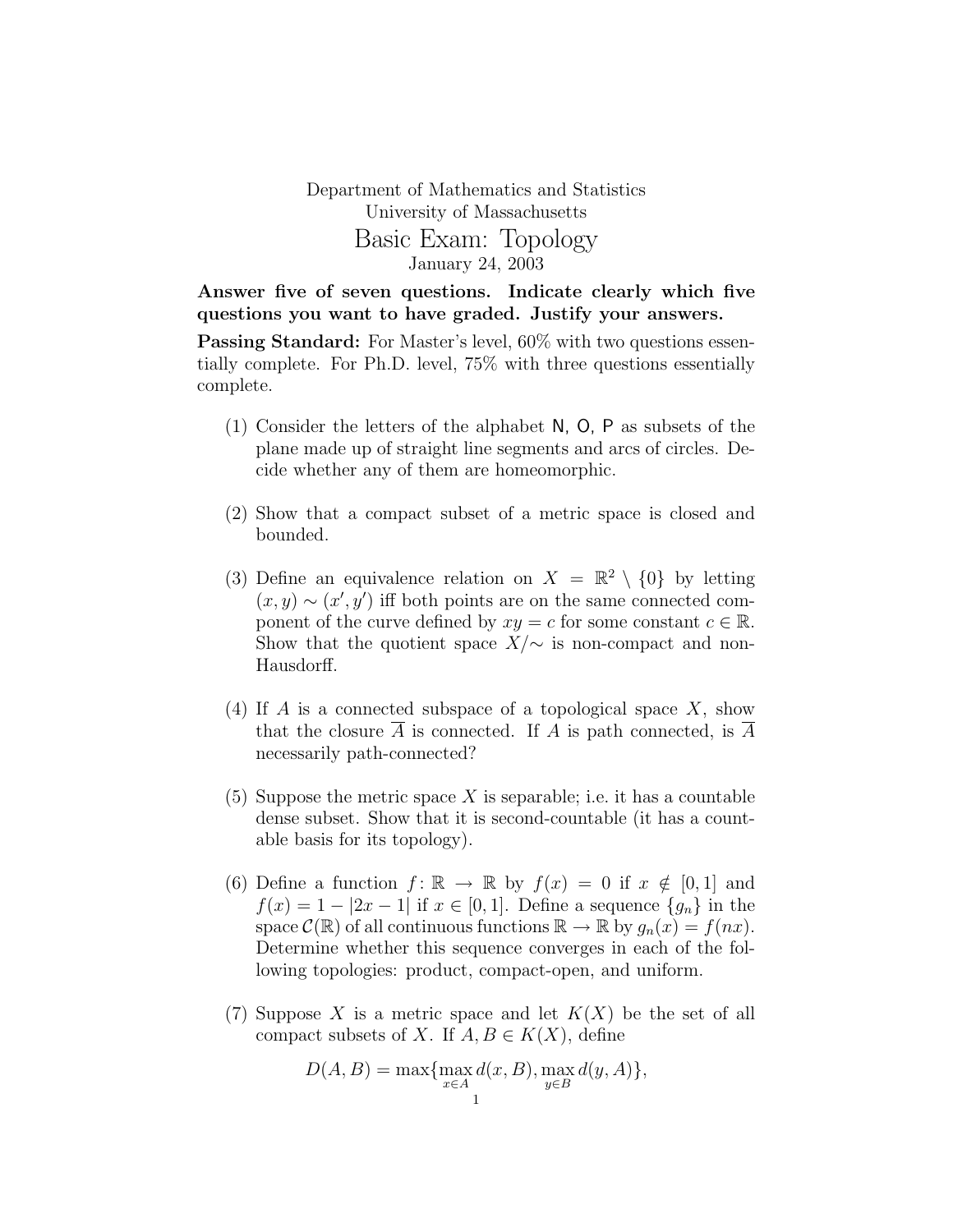## Department of Mathematics and Statistics University of Massachusetts Basic Exam: Topology January 24, 2003

Answer five of seven questions. Indicate clearly which five questions you want to have graded. Justify your answers.

**Passing Standard:** For Master's level,  $60\%$  with two questions essentially complete. For Ph.D. level, 75% with three questions essentially complete.

- (1) Consider the letters of the alphabet N, O, P as subsets of the plane made up of straight line segments and arcs of circles. Decide whether any of them are homeomorphic.
- (2) Show that a compact subset of a metric space is closed and bounded.
- (3) Define an equivalence relation on  $X = \mathbb{R}^2 \setminus \{0\}$  by letting  $(x, y) \sim (x', y')$  iff both points are on the same connected component of the curve defined by  $xy = c$  for some constant  $c \in \mathbb{R}$ . Show that the quotient space  $X/\sim$  is non-compact and non-Hausdorff.
- (4) If A is a connected subspace of a topological space  $X$ , show that the closure  $\overline{A}$  is connected. If A is path connected, is  $\overline{A}$ necessarily path-connected?
- (5) Suppose the metric space X is separable; i.e. it has a countable dense subset. Show that it is second-countable (it has a countable basis for its topology).
- (6) Define a function  $f: \mathbb{R} \to \mathbb{R}$  by  $f(x) = 0$  if  $x \notin [0, 1]$  and  $f(x) = 1 - |2x - 1|$  if  $x \in [0, 1]$ . Define a sequence  $\{g_n\}$  in the space  $\mathcal{C}(\mathbb{R})$  of all continuous functions  $\mathbb{R} \to \mathbb{R}$  by  $g_n(x) = f(nx)$ . Determine whether this sequence converges in each of the following topologies: product, compact-open, and uniform.
- (7) Suppose X is a metric space and let  $K(X)$  be the set of all compact subsets of X. If  $A, B \in K(X)$ , define

$$
D(A, B) = \max \{ \max_{x \in A} d(x, B), \max_{y \in B} d(y, A) \},\
$$